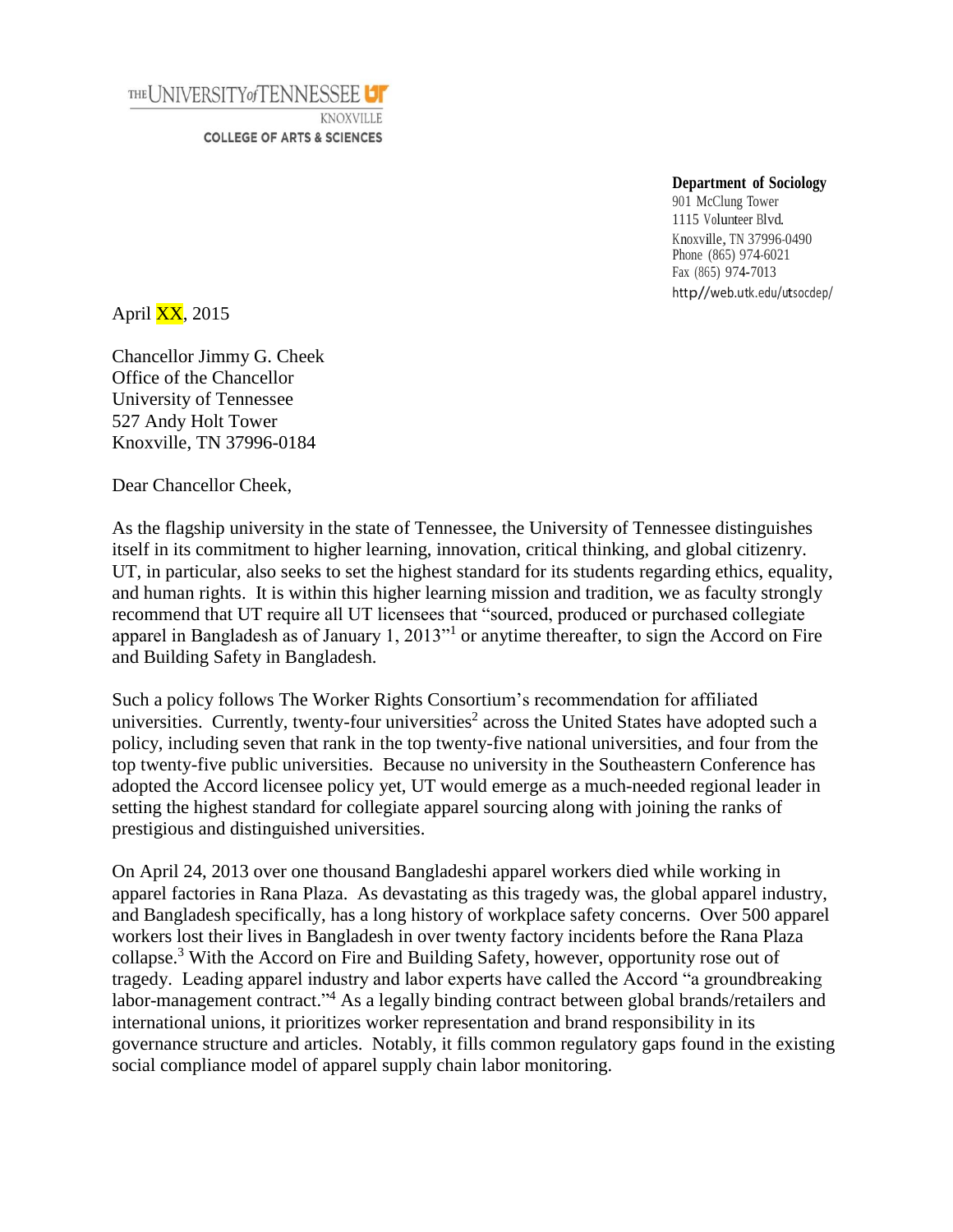

## **Department of Sociology**

901 McClung Tower 1115 Volunteer Blvd. Knoxville, TN 37996-0490 Phone (865) 974-6021 Fax (865) 974-7013 http//web.utk.edu/utsocdep/

April  $\overline{XX}$ , 2015

Chancellor Jimmy G. Cheek Office of the Chancellor University of Tennessee 527 Andy Holt Tower Knoxville, TN 37996-0184

Dear Chancellor Cheek,

As the flagship university in the state of Tennessee, the University of Tennessee distinguishes itself in its commitment to higher learning, innovation, critical thinking, and global citizenry. UT, in particular, also seeks to set the highest standard for its students regarding ethics, equality, and human rights. It is within this higher learning mission and tradition, we as faculty strongly recommend that UT require all UT licensees that "sourced, produced or purchased collegiate apparel in Bangladesh as of January 1, 2013<sup>"1</sup> or anytime thereafter, to sign the Accord on Fire and Building Safety in Bangladesh.

Such a policy follows The Worker Rights Consortium's recommendation for affiliated universities. Currently, twenty-four universities<sup>2</sup> across the United States have adopted such a policy, including seven that rank in the top twenty-five national universities, and four from the top twenty-five public universities. Because no university in the Southeastern Conference has adopted the Accord licensee policy yet, UT would emerge as a much-needed regional leader in setting the highest standard for collegiate apparel sourcing along with joining the ranks of prestigious and distinguished universities.

On April 24, 2013 over one thousand Bangladeshi apparel workers died while working in apparel factories in Rana Plaza. As devastating as this tragedy was, the global apparel industry, and Bangladesh specifically, has a long history of workplace safety concerns. Over 500 apparel workers lost their lives in Bangladesh in over twenty factory incidents before the Rana Plaza collapse.<sup>3</sup> With the Accord on Fire and Building Safety, however, opportunity rose out of tragedy. Leading apparel industry and labor experts have called the Accord "a groundbreaking labor-management contract."<sup>4</sup> As a legally binding contract between global brands/retailers and international unions, it prioritizes worker representation and brand responsibility in its governance structure and articles. Notably, it fills common regulatory gaps found in the existing social compliance model of apparel supply chain labor monitoring.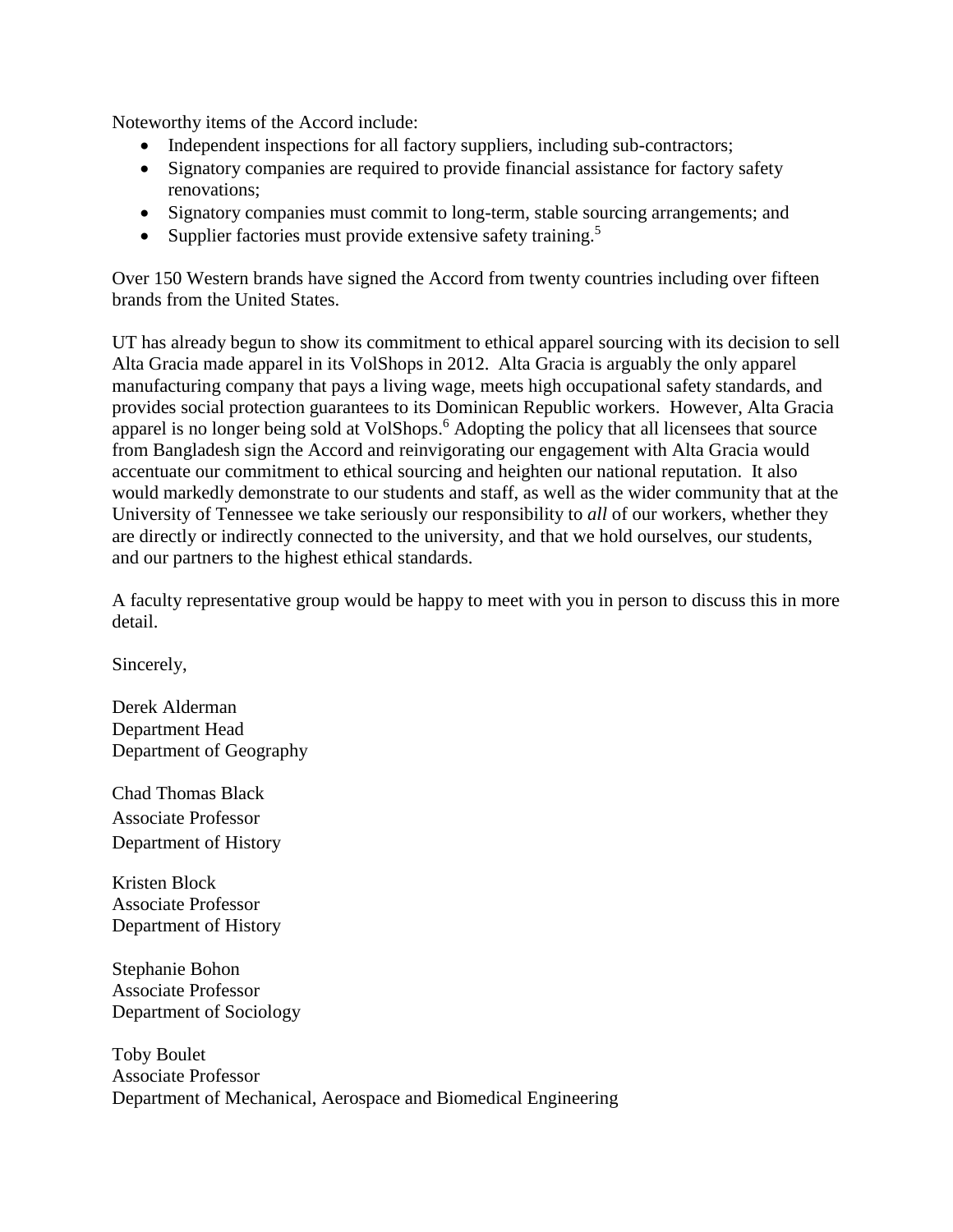Noteworthy items of the Accord include:

- Independent inspections for all factory suppliers, including sub-contractors;
- Signatory companies are required to provide financial assistance for factory safety renovations;
- Signatory companies must commit to long-term, stable sourcing arrangements; and
- Supplier factories must provide extensive safety training.<sup>5</sup>

Over 150 Western brands have signed the Accord from twenty countries including over fifteen brands from the United States.

UT has already begun to show its commitment to ethical apparel sourcing with its decision to sell Alta Gracia made apparel in its VolShops in 2012. Alta Gracia is arguably the only apparel manufacturing company that pays a living wage, meets high occupational safety standards, and provides social protection guarantees to its Dominican Republic workers. However, Alta Gracia apparel is no longer being sold at VolShops.<sup>6</sup> Adopting the policy that all licensees that source from Bangladesh sign the Accord and reinvigorating our engagement with Alta Gracia would accentuate our commitment to ethical sourcing and heighten our national reputation. It also would markedly demonstrate to our students and staff, as well as the wider community that at the University of Tennessee we take seriously our responsibility to *all* of our workers, whether they are directly or indirectly connected to the university, and that we hold ourselves, our students, and our partners to the highest ethical standards.

A faculty representative group would be happy to meet with you in person to discuss this in more detail.

Sincerely,

Derek Alderman Department Head Department of Geography

Chad Thomas Black Associate Professor Department of History

Kristen Block Associate Professor Department of History

Stephanie Bohon Associate Professor Department of Sociology

Toby Boulet Associate Professor Department of Mechanical, Aerospace and Biomedical Engineering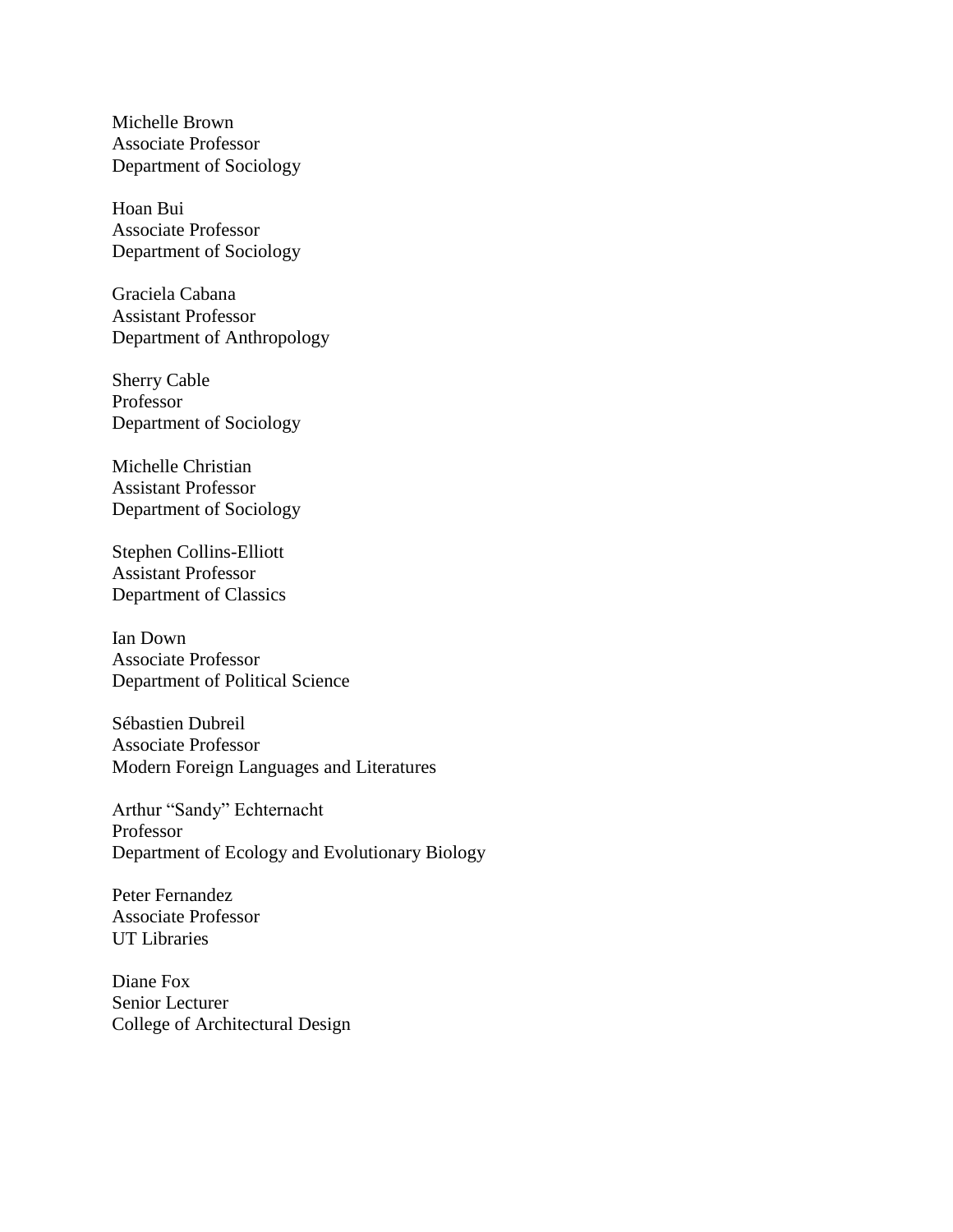Michelle Brown Associate Professor Department of Sociology

Hoan Bui Associate Professor Department of Sociology

Graciela Cabana Assistant Professor Department of Anthropology

Sherry Cable Professor Department of Sociology

Michelle Christian Assistant Professor Department of Sociology

Stephen Collins-Elliott Assistant Professor Department of Classics

Ian Down Associate Professor Department of Political Science

Sébastien Dubreil Associate Professor Modern Foreign Languages and Literatures

Arthur "Sandy" Echternacht Professor Department of Ecology and Evolutionary Biology

Peter Fernandez Associate Professor UT Libraries

Diane Fox Senior Lecturer College of Architectural Design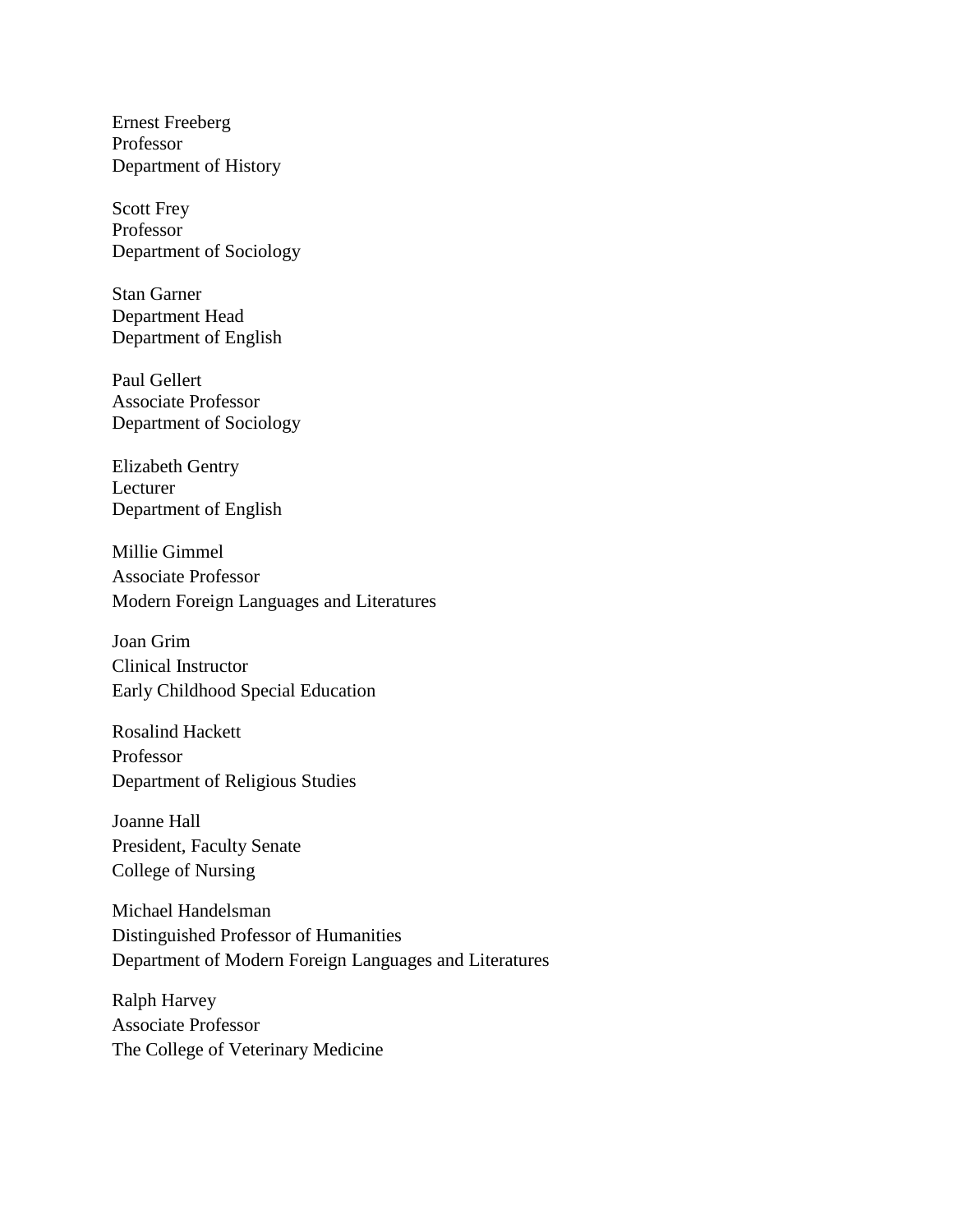Ernest Freeberg Professor Department of History

Scott Frey Professor Department of Sociology

Stan Garner Department Head Department of English

Paul Gellert Associate Professor Department of Sociology

Elizabeth Gentry Lecturer Department of English

Millie Gimmel Associate Professor Modern Foreign Languages and Literatures

Joan Grim Clinical Instructor Early Childhood Special Education

Rosalind Hackett Professor Department of Religious Studies

Joanne Hall President, Faculty Senate College of Nursing

Michael Handelsman Distinguished Professor of Humanities Department of Modern Foreign Languages and Literatures

Ralph Harvey Associate Professor The College of Veterinary Medicine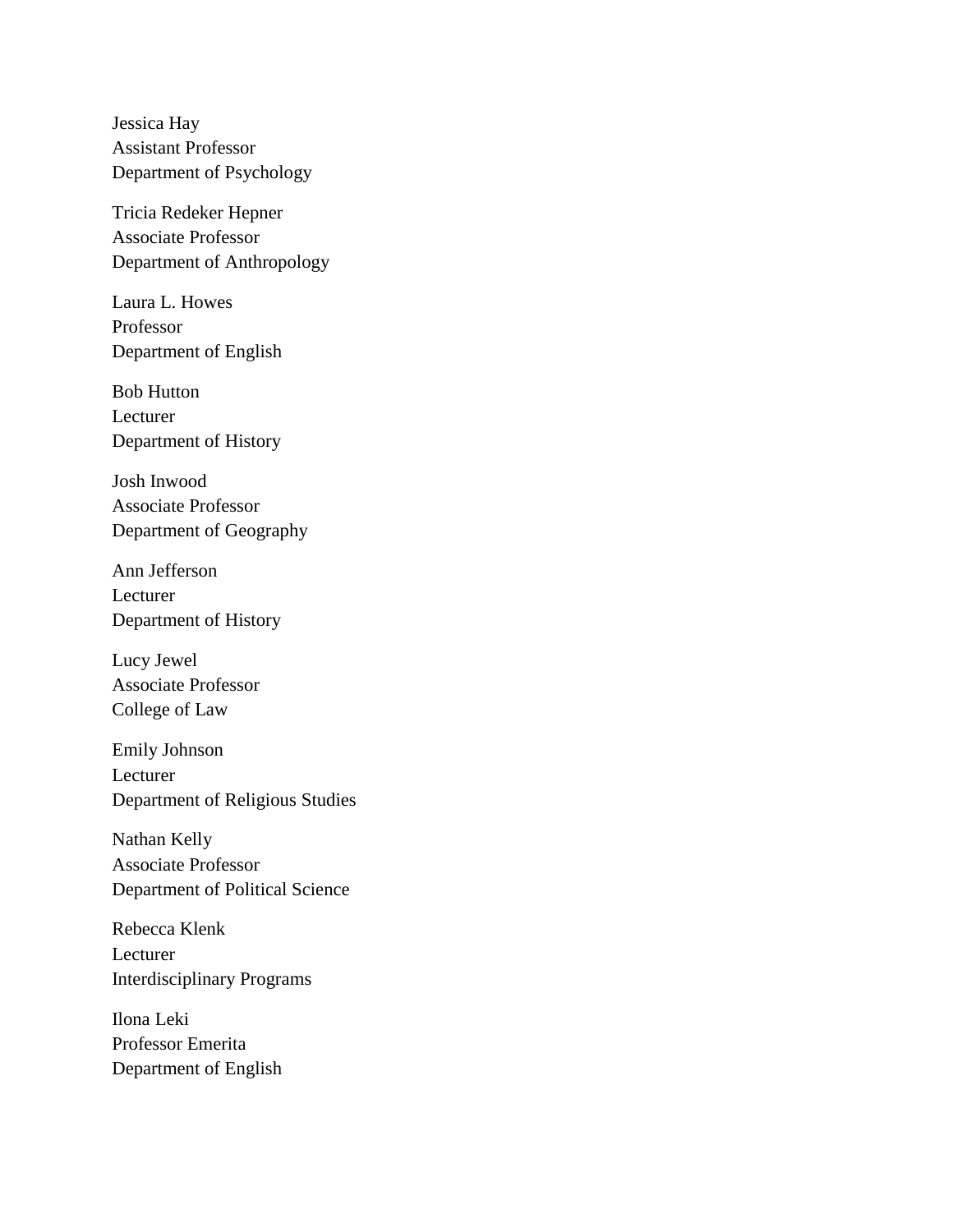Jessica Hay Assistant Professor Department of Psychology

Tricia Redeker Hepner Associate Professor Department of Anthropology

Laura L. Howes Professor Department of English

Bob Hutton Lecturer Department of History

Josh Inwood Associate Professor Department of Geography

Ann Jefferson Lecturer Department of History

Lucy Jewel Associate Professor College of Law

Emily Johnson Lecturer Department of Religious Studies

Nathan Kelly Associate Professor Department of Political Science

Rebecca Klenk Lecturer Interdisciplinary Programs

Ilona Leki Professor Emerita Department of English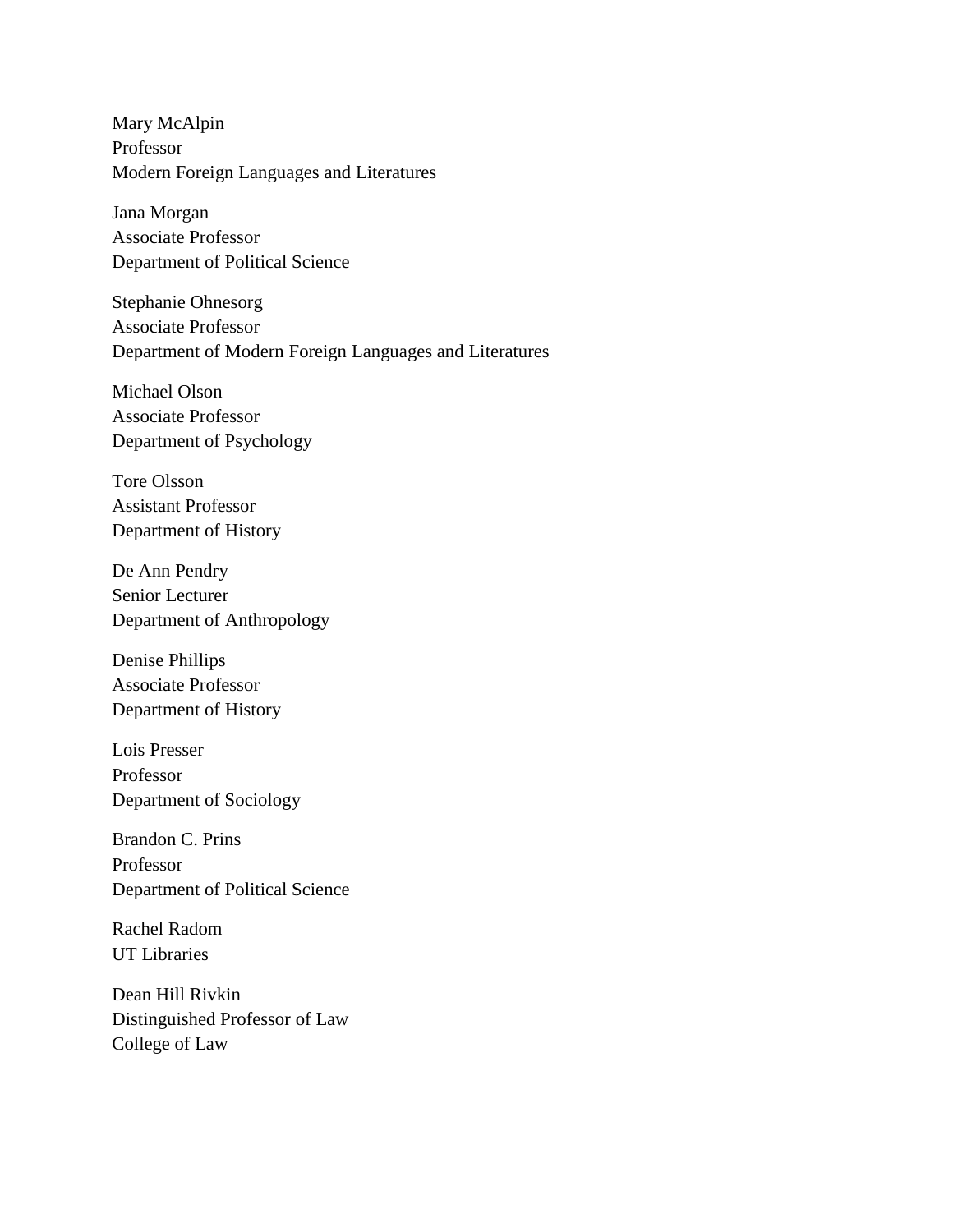Mary McAlpin Professor Modern Foreign Languages and Literatures

Jana Morgan Associate Professor Department of Political Science

Stephanie Ohnesorg Associate Professor Department of Modern Foreign Languages and Literatures

Michael Olson Associate Professor Department of Psychology

Tore Olsson Assistant Professor Department of History

De Ann Pendry Senior Lecturer Department of Anthropology

Denise Phillips Associate Professor Department of History

Lois Presser Professor Department of Sociology

Brandon C. Prins Professor Department of Political Science

Rachel Radom UT Libraries

Dean Hill Rivkin Distinguished Professor of Law College of Law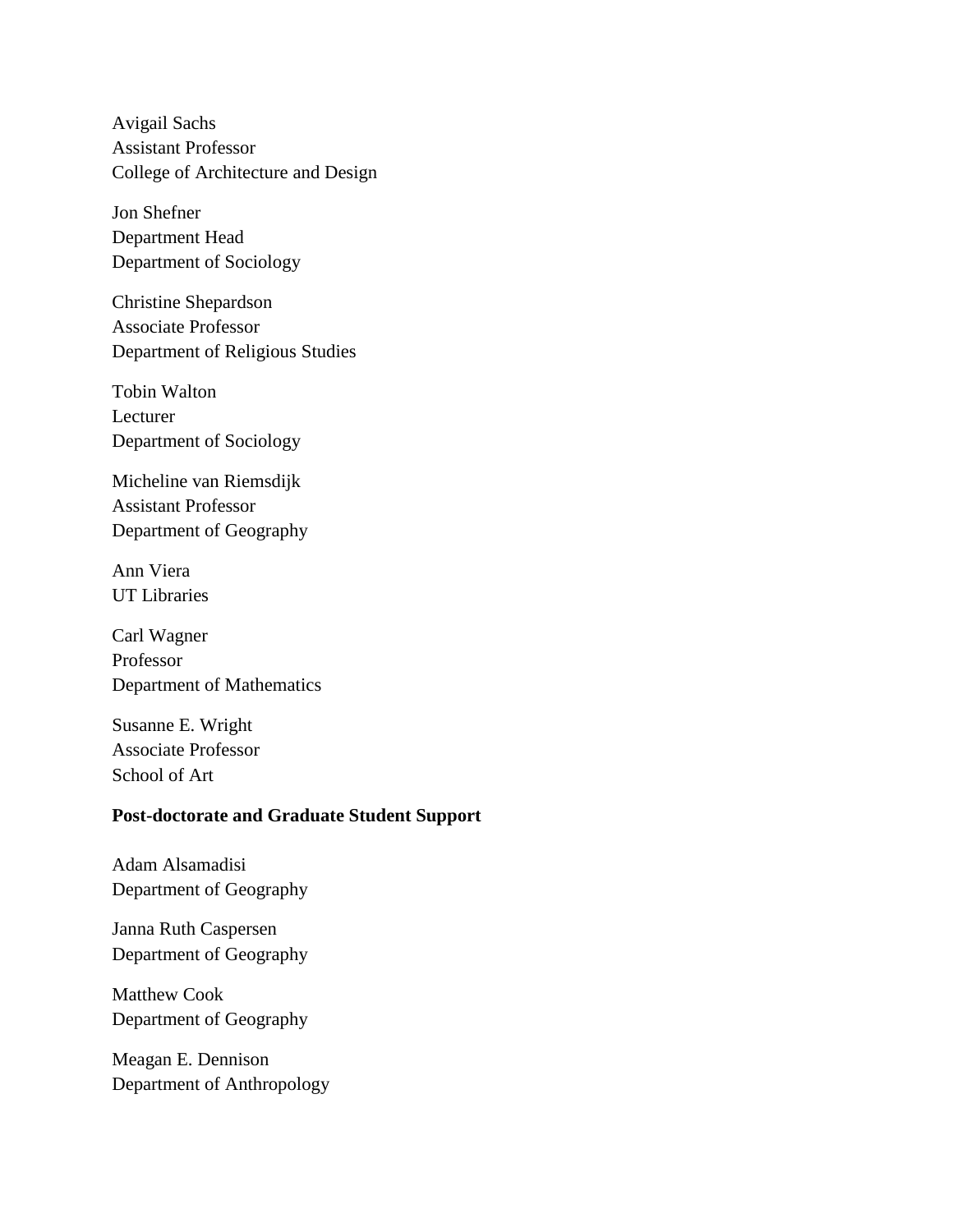Avigail Sachs Assistant Professor College of Architecture and Design

Jon Shefner Department Head Department of Sociology

Christine Shepardson Associate Professor Department of Religious Studies

Tobin Walton Lecturer Department of Sociology

Micheline van Riemsdijk Assistant Professor Department of Geography

Ann Viera UT Libraries

Carl Wagner Professor Department of Mathematics

Susanne E. Wright Associate Professor School of Art

## **Post-doctorate and Graduate Student Support**

Adam Alsamadisi Department of Geography

Janna Ruth Caspersen Department of Geography

Matthew Cook Department of Geography

Meagan E. Dennison Department of Anthropology